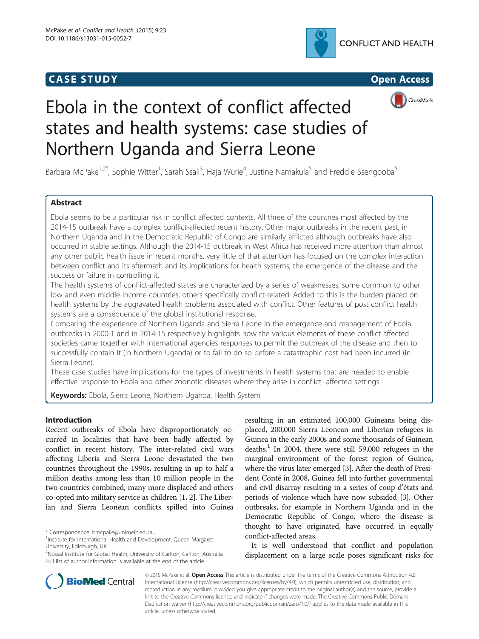## **CASE STUDY CASE STUDY Open Access**







# Ebola in the context of conflict affected states and health systems: case studies of Northern Uganda and Sierra Leone

Barbara McPake<sup>1,2\*</sup>, Sophie Witter<sup>1</sup>, Sarah Ssali<sup>3</sup>, Haja Wurie<sup>4</sup>, Justine Namakula<sup>5</sup> and Freddie Ssengooba<sup>5</sup>

## Abstract

Ebola seems to be a particular risk in conflict affected contexts. All three of the countries most affected by the 2014-15 outbreak have a complex conflict-affected recent history. Other major outbreaks in the recent past, in Northern Uganda and in the Democratic Republic of Congo are similarly afflicted although outbreaks have also occurred in stable settings. Although the 2014-15 outbreak in West Africa has received more attention than almost any other public health issue in recent months, very little of that attention has focused on the complex interaction between conflict and its aftermath and its implications for health systems, the emergence of the disease and the success or failure in controlling it.

The health systems of conflict-affected states are characterized by a series of weaknesses, some common to other low and even middle income countries, others specifically conflict-related. Added to this is the burden placed on health systems by the aggravated health problems associated with conflict. Other features of post conflict health systems are a consequence of the global institutional response.

Comparing the experience of Northern Uganda and Sierra Leone in the emergence and management of Ebola outbreaks in 2000-1 and in 2014-15 respectively highlights how the various elements of these conflict affected societies came together with international agencies responses to permit the outbreak of the disease and then to successfully contain it (in Northern Uganda) or to fail to do so before a catastrophic cost had been incurred (in Sierra Leone).

These case studies have implications for the types of investments in health systems that are needed to enable effective response to Ebola and other zoonotic diseases where they arise in conflict- affected settings.

Keywords: Ebola, Sierra Leone, Northern Uganda, Health System

## Introduction

Recent outbreaks of Ebola have disproportionately occurred in localities that have been badly affected by conflict in recent history. The inter-related civil wars affecting Liberia and Sierra Leone devastated the two countries throughout the 1990s, resulting in up to half a million deaths among less than 10 million people in the two countries combined, many more displaced and others co-opted into military service as children [[1,](#page-7-0) [2](#page-8-0)]. The Liberian and Sierra Leonean conflicts spilled into Guinea

\* Correspondence: [bmcpake@unimelb.edu.au](mailto:bmcpake@unimelb.edu.au) <sup>1</sup>

2 Nossal Institute for Global Health, University of Carlton, Carlton, Australia Full list of author information is available at the end of the article

resulting in an estimated 100,000 Guineans being displaced, 200,000 Sierra Leonean and Liberian refugees in Guinea in the early 2000s and some thousands of Guinean deaths.<sup>[1](#page-7-0)</sup> In 2004, there were still 59,000 refugees in the marginal environment of the forest region of Guinea, where the virus later emerged [\[3](#page-8-0)]. After the death of President Conté in 2008, Guinea fell into further governmental and civil disarray resulting in a series of coup d'états and periods of violence which have now subsided [[3](#page-8-0)]. Other outbreaks, for example in Northern Uganda and in the Democratic Republic of Congo, where the disease is thought to have originated, have occurred in equally conflict-affected areas.

It is well understood that conflict and population displacement on a large scale poses significant risks for



© 2015 McPake et al. Open Access This article is distributed under the terms of the Creative Commons Attribution 4.0 International License [\(http://creativecommons.org/licenses/by/4.0](http://creativecommons.org/licenses/by/4.0)), which permits unrestricted use, distribution, and reproduction in any medium, provided you give appropriate credit to the original author(s) and the source, provide a link to the Creative Commons license, and indicate if changes were made. The Creative Commons Public Domain Dedication waiver ([http://creativecommons.org/publicdomain/zero/1.0/\)](http://creativecommons.org/publicdomain/zero/1.0/) applies to the data made available in this article, unless otherwise stated.

<sup>&</sup>lt;sup>1</sup>Institute for International Health and Development, Queen Margaret University, Edinburgh, UK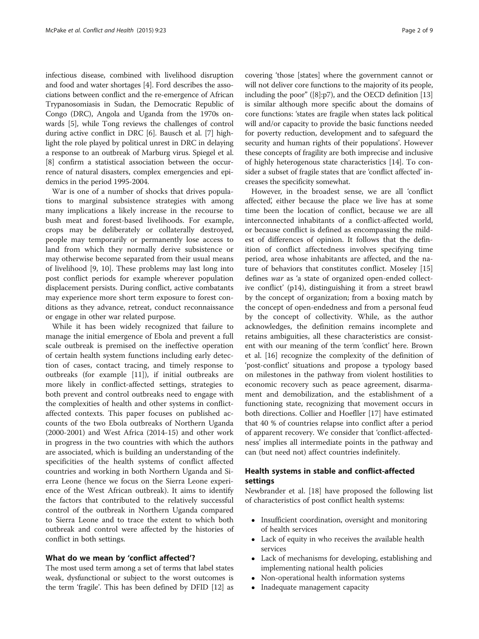infectious disease, combined with livelihood disruption and food and water shortages [\[4\]](#page-8-0). Ford describes the associations between conflict and the re-emergence of African Trypanosomiasis in Sudan, the Democratic Republic of Congo (DRC), Angola and Uganda from the 1970s onwards [[5](#page-8-0)], while Tong reviews the challenges of control during active conflict in DRC [\[6\]](#page-8-0). Bausch et al. [[7\]](#page-8-0) highlight the role played by political unrest in DRC in delaying a response to an outbreak of Marburg virus. Spiegel et al. [[8\]](#page-8-0) confirm a statistical association between the occurrence of natural disasters, complex emergencies and epidemics in the period 1995-2004.

War is one of a number of shocks that drives populations to marginal subsistence strategies with among many implications a likely increase in the recourse to bush meat and forest-based livelihoods. For example, crops may be deliberately or collaterally destroyed, people may temporarily or permanently lose access to land from which they normally derive subsistence or may otherwise become separated from their usual means of livelihood [\[9, 10\]](#page-8-0). These problems may last long into post conflict periods for example wherever population displacement persists. During conflict, active combatants may experience more short term exposure to forest conditions as they advance, retreat, conduct reconnaissance or engage in other war related purpose.

While it has been widely recognized that failure to manage the initial emergence of Ebola and prevent a full scale outbreak is premised on the ineffective operation of certain health system functions including early detection of cases, contact tracing, and timely response to outbreaks (for example [[11\]](#page-8-0)), if initial outbreaks are more likely in conflict-affected settings, strategies to both prevent and control outbreaks need to engage with the complexities of health and other systems in conflictaffected contexts. This paper focuses on published accounts of the two Ebola outbreaks of Northern Uganda (2000-2001) and West Africa (2014-15) and other work in progress in the two countries with which the authors are associated, which is building an understanding of the specificities of the health systems of conflict affected countries and working in both Northern Uganda and Sierra Leone (hence we focus on the Sierra Leone experience of the West African outbreak). It aims to identify the factors that contributed to the relatively successful control of the outbreak in Northern Uganda compared to Sierra Leone and to trace the extent to which both outbreak and control were affected by the histories of conflict in both settings.

## What do we mean by 'conflict affected'?

The most used term among a set of terms that label states weak, dysfunctional or subject to the worst outcomes is the term 'fragile'. This has been defined by DFID [\[12\]](#page-8-0) as

covering 'those [states] where the government cannot or will not deliver core functions to the majority of its people, including the poor" ([\[8](#page-8-0)]:p7), and the OECD definition [[13](#page-8-0)] is similar although more specific about the domains of core functions: 'states are fragile when states lack political will and/or capacity to provide the basic functions needed for poverty reduction, development and to safeguard the security and human rights of their populations'. However these concepts of fragility are both imprecise and inclusive of highly heterogenous state characteristics [\[14\]](#page-8-0). To consider a subset of fragile states that are 'conflict affected' increases the specificity somewhat.

However, in the broadest sense, we are all 'conflict affected', either because the place we live has at some time been the location of conflict, because we are all interconnected inhabitants of a conflict-affected world, or because conflict is defined as encompassing the mildest of differences of opinion. It follows that the definition of conflict affectedness involves specifying time period, area whose inhabitants are affected, and the nature of behaviors that constitutes conflict. Moseley [[15](#page-8-0)] defines war as 'a state of organized open-ended collective conflict' (p14), distinguishing it from a street brawl by the concept of organization; from a boxing match by the concept of open-endedness and from a personal feud by the concept of collectivity. While, as the author acknowledges, the definition remains incomplete and retains ambiguities, all these characteristics are consistent with our meaning of the term 'conflict' here. Brown et al. [[16](#page-8-0)] recognize the complexity of the definition of 'post-conflict' situations and propose a typology based on milestones in the pathway from violent hostilities to economic recovery such as peace agreement, disarmament and demobilization, and the establishment of a functioning state, recognizing that movement occurs in both directions. Collier and Hoefller [\[17](#page-8-0)] have estimated that 40 % of countries relapse into conflict after a period of apparent recovery. We consider that 'conflict-affectedness' implies all intermediate points in the pathway and can (but need not) affect countries indefinitely.

## Health systems in stable and conflict-affected settings

Newbrander et al. [[18\]](#page-8-0) have proposed the following list of characteristics of post conflict health systems:

- Insufficient coordination, oversight and monitoring of health services
- Lack of equity in who receives the available health services
- Lack of mechanisms for developing, establishing and implementing national health policies
- Non-operational health information systems
- Inadequate management capacity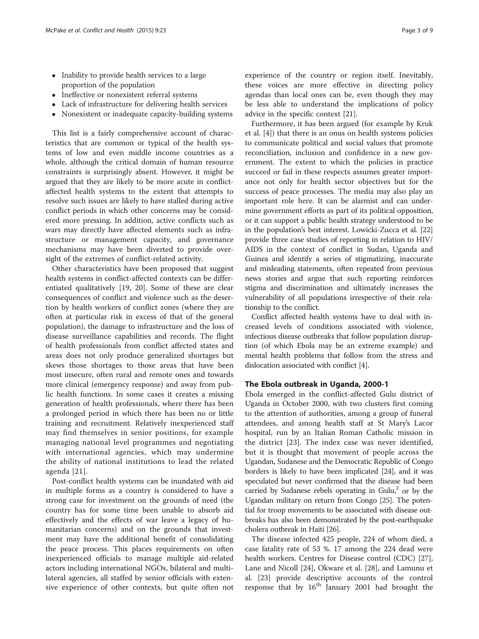- Inability to provide health services to a large proportion of the population
- Ineffective or nonexistent referral systems
- Lack of infrastructure for delivering health services
- Nonexistent or inadequate capacity-building systems

This list is a fairly comprehensive account of characteristics that are common or typical of the health systems of low and even middle income countries as a whole, although the critical domain of human resource constraints is surprisingly absent. However, it might be argued that they are likely to be more acute in conflictaffected health systems to the extent that attempts to resolve such issues are likely to have stalled during active conflict periods in which other concerns may be considered more pressing. In addition, active conflicts such as wars may directly have affected elements such as infrastructure or management capacity, and governance mechanisms may have been diverted to provide oversight of the extremes of conflict-related activity.

Other characteristics have been proposed that suggest health systems in conflict-affected contexts can be differentiated qualitatively [\[19](#page-8-0), [20\]](#page-8-0). Some of these are clear consequences of conflict and violence such as the desertion by health workers of conflict zones (where they are often at particular risk in excess of that of the general population), the damage to infrastructure and the loss of disease surveillance capabilities and records. The flight of health professionals from conflict affected states and areas does not only produce generalized shortages but skews those shortages to those areas that have been most insecure, often rural and remote ones and towards more clinical (emergency response) and away from public health functions. In some cases it creates a missing generation of health professionals, where there has been a prolonged period in which there has been no or little training and recruitment. Relatively inexperienced staff may find themselves in senior positions, for example managing national level programmes and negotiating with international agencies, which may undermine the ability of national institutions to lead the related agenda [[21](#page-8-0)].

Post-conflict health systems can be inundated with aid in multiple forms as a country is considered to have a strong case for investment on the grounds of need (the country has for some time been unable to absorb aid effectively and the effects of war leave a legacy of humanitarian concerns) and on the grounds that investment may have the additional benefit of consolidating the peace process. This places requirements on often inexperienced officials to manage multiple aid-related actors including international NGOs, bilateral and multilateral agencies, all staffed by senior officials with extensive experience of other contexts, but quite often not

experience of the country or region itself. Inevitably, these voices are more effective in directing policy agendas than local ones can be, even though they may be less able to understand the implications of policy advice in the specific context [[21](#page-8-0)].

Furthermore, it has been argued (for example by Kruk et al. [\[4](#page-8-0)]) that there is an onus on health systems policies to communicate political and social values that promote reconciliation, inclusion and confidence in a new government. The extent to which the policies in practice succeed or fail in these respects assumes greater importance not only for health sector objectives but for the success of peace processes. The media may also play an important role here. It can be alarmist and can undermine government efforts as part of its political opposition, or it can support a public health strategy understood to be in the population's best interest. Lowicki-Zucca et al. [[22](#page-8-0)] provide three case studies of reporting in relation to HIV/ AIDS in the context of conflict in Sudan, Uganda and Guinea and identify a series of stigmatizing, inaccurate and misleading statements, often repeated from previous news stories and argue that such reporting reinforces stigma and discrimination and ultimately increases the vulnerability of all populations irrespective of their relationship to the conflict.

Conflict affected health systems have to deal with increased levels of conditions associated with violence, infectious disease outbreaks that follow population disruption (of which Ebola may be an extreme example) and mental health problems that follow from the stress and dislocation associated with conflict [\[4](#page-8-0)].

## The Ebola outbreak in Uganda, 2000-1

Ebola emerged in the conflict-affected Gulu district of Uganda in October 2000, with two clusters first coming to the attention of authorities, among a group of funeral attendees, and among health staff at St Mary's Lacor hospital, run by an Italian Roman Catholic mission in the district [\[23](#page-8-0)]. The index case was never identified, but it is thought that movement of people across the Ugandan, Sudanese and the Democratic Republic of Congo borders is likely to have been implicated [\[24\]](#page-8-0), and it was speculated but never confirmed that the disease had been carried by Sudanese rebels operating in  $Gulu<sub>i</sub><sup>2</sup>$  or by the Ugandan military on return from Congo [\[25\]](#page-8-0). The potential for troop movements to be associated with disease outbreaks has also been demonstrated by the post-earthquake cholera outbreak in Haiti [\[26\]](#page-8-0).

The disease infected 425 people, 224 of whom died, a case fatality rate of 53 %. 17 among the 224 dead were health workers. Centres for Disease control (CDC) [\[27](#page-8-0)], Lane and Nicoll [\[24\]](#page-8-0), Okware et al. [[28\]](#page-8-0), and Lamunu et al. [[23\]](#page-8-0) provide descriptive accounts of the control response that by  $16<sup>th</sup>$  January 2001 had brought the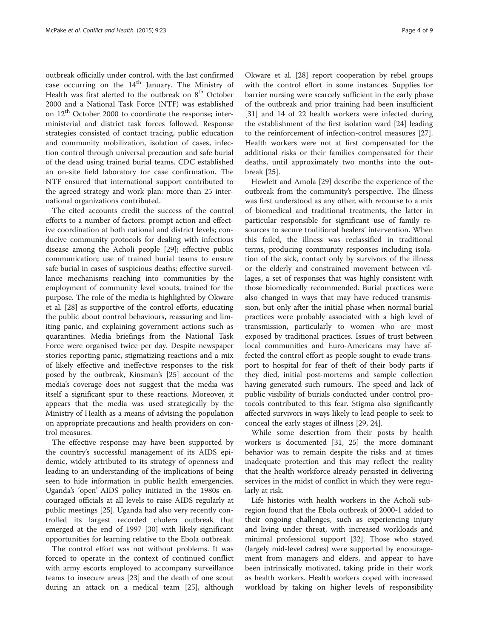outbreak officially under control, with the last confirmed case occurring on the  $14<sup>th</sup>$  January. The Ministry of Health was first alerted to the outbreak on  $8<sup>th</sup>$  October 2000 and a National Task Force (NTF) was established on 12<sup>th</sup> October 2000 to coordinate the response; interministerial and district task forces followed. Response strategies consisted of contact tracing, public education and community mobilization, isolation of cases, infection control through universal precaution and safe burial of the dead using trained burial teams. CDC established an on-site field laboratory for case confirmation. The NTF ensured that international support contributed to the agreed strategy and work plan: more than 25 international organizations contributed.

The cited accounts credit the success of the control efforts to a number of factors: prompt action and effective coordination at both national and district levels; conducive community protocols for dealing with infectious disease among the Acholi people [[29\]](#page-8-0); effective public communication; use of trained burial teams to ensure safe burial in cases of suspicious deaths; effective surveillance mechanisms reaching into communities by the employment of community level scouts, trained for the purpose. The role of the media is highlighted by Okware et al. [[28](#page-8-0)] as supportive of the control efforts, educating the public about control behaviours, reassuring and limiting panic, and explaining government actions such as quarantines. Media briefings from the National Task Force were organised twice per day. Despite newspaper stories reporting panic, stigmatizing reactions and a mix of likely effective and ineffective responses to the risk posed by the outbreak, Kinsman's [[25\]](#page-8-0) account of the media's coverage does not suggest that the media was itself a significant spur to these reactions. Moreover, it appears that the media was used strategically by the Ministry of Health as a means of advising the population on appropriate precautions and health providers on control measures.

The effective response may have been supported by the country's successful management of its AIDS epidemic, widely attributed to its strategy of openness and leading to an understanding of the implications of being seen to hide information in public health emergencies. Uganda's 'open' AIDS policy initiated in the 1980s encouraged officials at all levels to raise AIDS regularly at public meetings [[25](#page-8-0)]. Uganda had also very recently controlled its largest recorded cholera outbreak that emerged at the end of 1997 [[30](#page-8-0)] with likely significant opportunities for learning relative to the Ebola outbreak.

The control effort was not without problems. It was forced to operate in the context of continued conflict with army escorts employed to accompany surveillance teams to insecure areas [\[23\]](#page-8-0) and the death of one scout during an attack on a medical team [\[25\]](#page-8-0), although

Okware et al. [[28](#page-8-0)] report cooperation by rebel groups with the control effort in some instances. Supplies for barrier nursing were scarcely sufficient in the early phase of the outbreak and prior training had been insufficient [[31\]](#page-8-0) and 14 of 22 health workers were infected during the establishment of the first isolation ward [[24\]](#page-8-0) leading to the reinforcement of infection-control measures [\[27](#page-8-0)]. Health workers were not at first compensated for the additional risks or their families compensated for their deaths, until approximately two months into the outbreak [\[25](#page-8-0)].

Hewlett and Amola [\[29](#page-8-0)] describe the experience of the outbreak from the community's perspective. The illness was first understood as any other, with recourse to a mix of biomedical and traditional treatments, the latter in particular responsible for significant use of family resources to secure traditional healers' intervention. When this failed, the illness was reclassified in traditional terms, producing community responses including isolation of the sick, contact only by survivors of the illness or the elderly and constrained movement between villages, a set of responses that was highly consistent with those biomedically recommended. Burial practices were also changed in ways that may have reduced transmission, but only after the initial phase when normal burial practices were probably associated with a high level of transmission, particularly to women who are most exposed by traditional practices. Issues of trust between local communities and Euro-Americans may have affected the control effort as people sought to evade transport to hospital for fear of theft of their body parts if they died, initial post-mortems and sample collection having generated such rumours. The speed and lack of public visibility of burials conducted under control protocols contributed to this fear. Stigma also significantly affected survivors in ways likely to lead people to seek to conceal the early stages of illness [[29, 24](#page-8-0)].

While some desertion from their posts by health workers is documented [[31](#page-8-0), [25\]](#page-8-0) the more dominant behavior was to remain despite the risks and at times inadequate protection and this may reflect the reality that the health workforce already persisted in delivering services in the midst of conflict in which they were regularly at risk.

Life histories with health workers in the Acholi subregion found that the Ebola outbreak of 2000-1 added to their ongoing challenges, such as experiencing injury and living under threat, with increased workloads and minimal professional support [[32\]](#page-8-0). Those who stayed (largely mid-level cadres) were supported by encouragement from managers and elders, and appear to have been intrinsically motivated, taking pride in their work as health workers. Health workers coped with increased workload by taking on higher levels of responsibility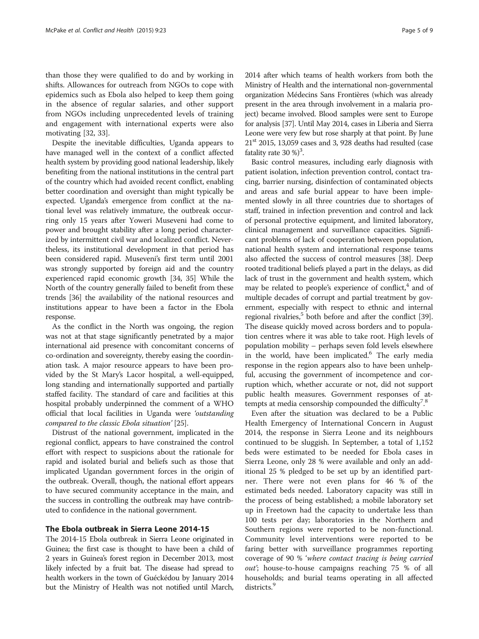than those they were qualified to do and by working in shifts. Allowances for outreach from NGOs to cope with epidemics such as Ebola also helped to keep them going in the absence of regular salaries, and other support from NGOs including unprecedented levels of training and engagement with international experts were also motivating [[32](#page-8-0), [33](#page-8-0)].

Despite the inevitable difficulties, Uganda appears to have managed well in the context of a conflict affected health system by providing good national leadership, likely benefiting from the national institutions in the central part of the country which had avoided recent conflict, enabling better coordination and oversight than might typically be expected. Uganda's emergence from conflict at the national level was relatively immature, the outbreak occurring only 15 years after Yoweri Museveni had come to power and brought stability after a long period characterized by intermittent civil war and localized conflict. Nevertheless, its institutional development in that period has been considered rapid. Museveni's first term until 2001 was strongly supported by foreign aid and the country experienced rapid economic growth [[34](#page-8-0), [35\]](#page-8-0) While the North of the country generally failed to benefit from these trends [\[36\]](#page-8-0) the availability of the national resources and institutions appear to have been a factor in the Ebola response.

As the conflict in the North was ongoing, the region was not at that stage significantly penetrated by a major international aid presence with concomitant concerns of co-ordination and sovereignty, thereby easing the coordination task. A major resource appears to have been provided by the St Mary's Lacor hospital, a well-equipped, long standing and internationally supported and partially staffed facility. The standard of care and facilities at this hospital probably underpinned the comment of a WHO official that local facilities in Uganda were 'outstanding compared to the classic Ebola situation' [[25](#page-8-0)].

Distrust of the national government, implicated in the regional conflict, appears to have constrained the control effort with respect to suspicions about the rationale for rapid and isolated burial and beliefs such as those that implicated Ugandan government forces in the origin of the outbreak. Overall, though, the national effort appears to have secured community acceptance in the main, and the success in controlling the outbreak may have contributed to confidence in the national government.

## The Ebola outbreak in Sierra Leone 2014-15

The 2014-15 Ebola outbreak in Sierra Leone originated in Guinea; the first case is thought to have been a child of 2 years in Guinea's forest region in December 2013, most likely infected by a fruit bat. The disease had spread to health workers in the town of Guéckédou by January 2014 but the Ministry of Health was not notified until March,

2014 after which teams of health workers from both the Ministry of Health and the international non-governmental organization Médecins Sans Frontières (which was already present in the area through involvement in a malaria project) became involved. Blood samples were sent to Europe for analysis [[37](#page-8-0)]. Until May 2014, cases in Liberia and Sierra Leone were very few but rose sharply at that point. By June  $21<sup>st</sup>$  2015, 13,059 cases and 3, 928 deaths had resulted (case fatality rate  $30\%$  $30\%$ <sup>3</sup>.

Basic control measures, including early diagnosis with patient isolation, infection prevention control, contact tracing, barrier nursing, disinfection of contaminated objects and areas and safe burial appear to have been implemented slowly in all three countries due to shortages of staff, trained in infection prevention and control and lack of personal protective equipment, and limited laboratory, clinical management and surveillance capacities. Significant problems of lack of cooperation between population, national health system and international response teams also affected the success of control measures [[38](#page-8-0)]. Deep rooted traditional beliefs played a part in the delays, as did lack of trust in the government and health system, which may be related to people's experience of conflict, $4$  and of multiple decades of corrupt and partial treatment by government, especially with respect to ethnic and internal regional rivalries, $5$  both before and after the conflict [[39](#page-8-0)]. The disease quickly moved across borders and to population centres where it was able to take root. High levels of population mobility – perhaps seven fold levels elsewhere in the world, have been implicated.<sup>6</sup> The early media response in the region appears also to have been unhelpful, accusing the government of incompetence and corruption which, whether accurate or not, did not support public health measures. Government responses of at-tempts at media censorship compounded the difficulty<sup>[7](#page-7-0)</sup>.[8](#page-7-0)

Even after the situation was declared to be a Public Health Emergency of International Concern in August 2014, the response in Sierra Leone and its neighbours continued to be sluggish. In September, a total of 1,152 beds were estimated to be needed for Ebola cases in Sierra Leone, only 28 % were available and only an additional 25 % pledged to be set up by an identified partner. There were not even plans for 46 % of the estimated beds needed. Laboratory capacity was still in the process of being established; a mobile laboratory set up in Freetown had the capacity to undertake less than 100 tests per day; laboratories in the Northern and Southern regions were reported to be non-functional. Community level interventions were reported to be faring better with surveillance programmes reporting coverage of 90 % 'where contact tracing is being carried out'; house-to-house campaigns reaching 75 % of all households; and burial teams operating in all affected districts.<sup>[9](#page-7-0)</sup>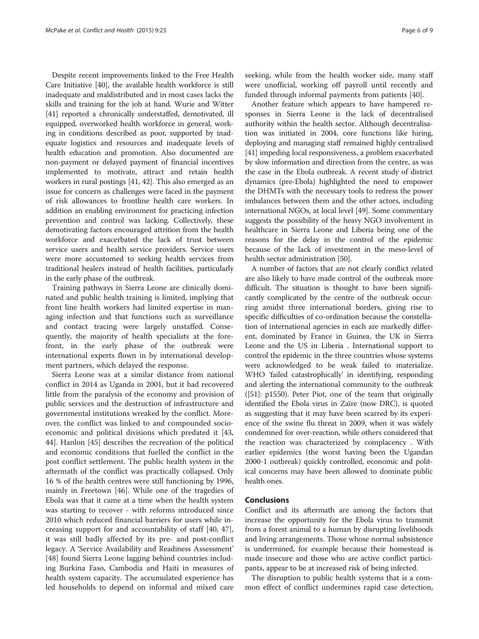Despite recent improvements linked to the Free Health Care Initiative [\[40\]](#page-8-0), the available health workforce is still inadequate and maldistributed and in most cases lacks the skills and training for the job at hand. Wurie and Witter [[41](#page-8-0)] reported a chronically understaffed, demotivated, ill equipped, overworked health workforce in general, working in conditions described as poor, supported by inadequate logistics and resources and inadequate levels of health education and promotion. Also documented are non-payment or delayed payment of financial incentives implemented to motivate, attract and retain health workers in rural postings [\[41](#page-8-0), [42](#page-8-0)]. This also emerged as an issue for concern as challenges were faced in the payment of risk allowances to frontline health care workers. In addition an enabling environment for practicing infection prevention and control was lacking. Collectively, these demotivating factors encouraged attrition from the health workforce and exacerbated the lack of trust between service users and health service providers. Service users were more accustomed to seeking health services from traditional healers instead of health facilities, particularly in the early phase of the outbreak.

Training pathways in Sierra Leone are clinically dominated and public health training is limited, implying that front line health workers had limited expertise in managing infection and that functions such as surveillance and contact tracing were largely unstaffed. Consequently, the majority of health specialists at the forefront, in the early phase of the outbreak were international experts flown in by international development partners, which delayed the response.

Sierra Leone was at a similar distance from national conflict in 2014 as Uganda in 2001, but it had recovered little from the paralysis of the economy and provision of public services and the destruction of infrastructure and governmental institutions wreaked by the conflict. Moreover, the conflict was linked to and compounded socioeconomic and political divisions which predated it [[43](#page-8-0), [44\]](#page-8-0). Hanlon [\[45](#page-8-0)] describes the recreation of the political and economic conditions that fuelled the conflict in the post conflict settlement. The public health system in the aftermath of the conflict was practically collapsed. Only 16 % of the health centres were still functioning by 1996, mainly in Freetown [[46\]](#page-8-0). While one of the tragedies of Ebola was that it came at a time when the health system was starting to recover - with reforms introduced since 2010 which reduced financial barriers for users while increasing support for and accountability of staff [[40, 47](#page-8-0)], it was still badly affected by its pre- and post-conflict legacy. A 'Service Availability and Readiness Assessment' [[48\]](#page-8-0) found Sierra Leone lagging behind countries including Burkina Faso, Cambodia and Haiti in measures of health system capacity. The accumulated experience has led households to depend on informal and mixed care

seeking, while from the health worker side, many staff were unofficial, working off payroll until recently and funded through informal payments from patients [\[40](#page-8-0)].

Another feature which appears to have hampered responses in Sierra Leone is the lack of decentralised authority within the health sector. Although decentralisation was initiated in 2004, core functions like hiring, deploying and managing staff remained highly centralised [[41](#page-8-0)] impeding local responsiveness, a problem exacerbated by slow information and direction from the centre, as was the case in the Ebola outbreak. A recent study of district dynamics (pre-Ebola) highlighted the need to empower the DHMTs with the necessary tools to redress the power imbalances between them and the other actors, including international NGOs, at local level [\[49\]](#page-8-0). Some commentary suggests the possibility of the heavy NGO involvement in healthcare in Sierra Leone and Liberia being one of the reasons for the delay in the control of the epidemic because of the lack of investment in the meso-level of health sector administration [[50](#page-8-0)].

A number of factors that are not clearly conflict related are also likely to have made control of the outbreak more difficult. The situation is thought to have been significantly complicated by the centre of the outbreak occurring amidst three international borders, giving rise to specific difficulties of co-ordination because the constellation of international agencies in each are markedly different, dominated by France in Guinea, the UK in Sierra Leone and the US in Liberia . International support to control the epidemic in the three countries whose systems were acknowledged to be weak failed to materialize. WHO 'failed catastrophically' in identifying, responding and alerting the international community to the outbreak ([\[51\]](#page-8-0): p1550). Peter Piot, one of the team that originally identified the Ebola virus in Zaïre (now DRC), is quoted as suggesting that it may have been scarred by its experience of the swine flu threat in 2009, when it was widely condemned for over-reaction, while others considered that the reaction was characterized by complacency . With earlier epidemics (the worst having been the Ugandan 2000-1 outbreak) quickly controlled, economic and political concerns may have been allowed to dominate public health ones.

## Conclusions

Conflict and its aftermath are among the factors that increase the opportunity for the Ebola virus to transmit from a forest animal to a human by disrupting livelihoods and living arrangements. Those whose normal subsistence is undermined, for example because their homestead is made insecure and those who are active conflict participants, appear to be at increased risk of being infected.

The disruption to public health systems that is a common effect of conflict undermines rapid case detection,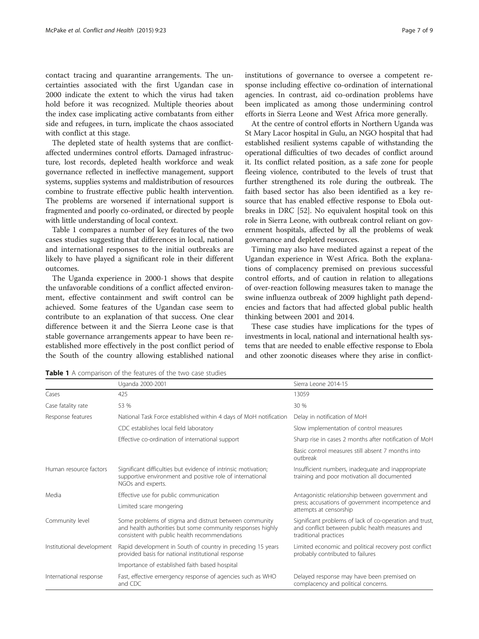contact tracing and quarantine arrangements. The uncertainties associated with the first Ugandan case in 2000 indicate the extent to which the virus had taken hold before it was recognized. Multiple theories about the index case implicating active combatants from either side and refugees, in turn, implicate the chaos associated with conflict at this stage.

The depleted state of health systems that are conflictaffected undermines control efforts. Damaged infrastructure, lost records, depleted health workforce and weak governance reflected in ineffective management, support systems, supplies systems and maldistribution of resources combine to frustrate effective public health intervention. The problems are worsened if international support is fragmented and poorly co-ordinated, or directed by people with little understanding of local context.

Table 1 compares a number of key features of the two cases studies suggesting that differences in local, national and international responses to the initial outbreaks are likely to have played a significant role in their different outcomes.

The Uganda experience in 2000-1 shows that despite the unfavorable conditions of a conflict affected environment, effective containment and swift control can be achieved. Some features of the Ugandan case seem to contribute to an explanation of that success. One clear difference between it and the Sierra Leone case is that stable governance arrangements appear to have been reestablished more effectively in the post conflict period of the South of the country allowing established national

institutions of governance to oversee a competent response including effective co-ordination of international agencies. In contrast, aid co-ordination problems have been implicated as among those undermining control efforts in Sierra Leone and West Africa more generally.

At the centre of control efforts in Northern Uganda was St Mary Lacor hospital in Gulu, an NGO hospital that had established resilient systems capable of withstanding the operational difficulties of two decades of conflict around it. Its conflict related position, as a safe zone for people fleeing violence, contributed to the levels of trust that further strengthened its role during the outbreak. The faith based sector has also been identified as a key resource that has enabled effective response to Ebola outbreaks in DRC [[52](#page-8-0)]. No equivalent hospital took on this role in Sierra Leone, with outbreak control reliant on government hospitals, affected by all the problems of weak governance and depleted resources.

Timing may also have mediated against a repeat of the Ugandan experience in West Africa. Both the explanations of complacency premised on previous successful control efforts, and of caution in relation to allegations of over-reaction following measures taken to manage the swine influenza outbreak of 2009 highlight path dependencies and factors that had affected global public health thinking between 2001 and 2014.

These case studies have implications for the types of investments in local, national and international health systems that are needed to enable effective response to Ebola and other zoonotic diseases where they arise in conflict-

| <b>Table 1</b> A comparison of the features of the two case studies |  |  |  |
|---------------------------------------------------------------------|--|--|--|
|---------------------------------------------------------------------|--|--|--|

|                           | Uganda 2000-2001                                                                                                                                                      | Sierra Leone 2014-15                                                                                                                |  |
|---------------------------|-----------------------------------------------------------------------------------------------------------------------------------------------------------------------|-------------------------------------------------------------------------------------------------------------------------------------|--|
| Cases                     | 425                                                                                                                                                                   | 13059                                                                                                                               |  |
| Case fatality rate        | 53 %                                                                                                                                                                  | 30 %                                                                                                                                |  |
| Response features         | National Task Force established within 4 days of MoH notification                                                                                                     | Delay in notification of MoH                                                                                                        |  |
|                           | CDC establishes local field laboratory                                                                                                                                | Slow implementation of control measures                                                                                             |  |
|                           | Effective co-ordination of international support                                                                                                                      | Sharp rise in cases 2 months after notification of MoH                                                                              |  |
|                           |                                                                                                                                                                       | Basic control measures still absent 7 months into<br>outbreak                                                                       |  |
| Human resource factors    | Significant difficulties but evidence of intrinsic motivation;<br>supportive environment and positive role of international<br>NGOs and experts.                      | Insufficient numbers, inadequate and inappropriate<br>training and poor motivation all documented                                   |  |
| Media                     | Effective use for public communication                                                                                                                                | Antagonistic relationship between government and                                                                                    |  |
|                           | Limited scare mongering                                                                                                                                               | press; accusations of government incompetence and<br>attempts at censorship                                                         |  |
| Community level           | Some problems of stigma and distrust between community<br>and health authorities but some community responses highly<br>consistent with public health recommendations | Significant problems of lack of co-operation and trust,<br>and conflict between public health measures and<br>traditional practices |  |
| Institutional development | Rapid development in South of country in preceding 15 years<br>provided basis for national institutional response                                                     | Limited economic and political recovery post conflict<br>probably contributed to failures                                           |  |
|                           | Importance of established faith based hospital                                                                                                                        |                                                                                                                                     |  |
| International response    | Fast, effective emergency response of agencies such as WHO<br>and CDC                                                                                                 | Delayed response may have been premised on<br>complacency and political concerns.                                                   |  |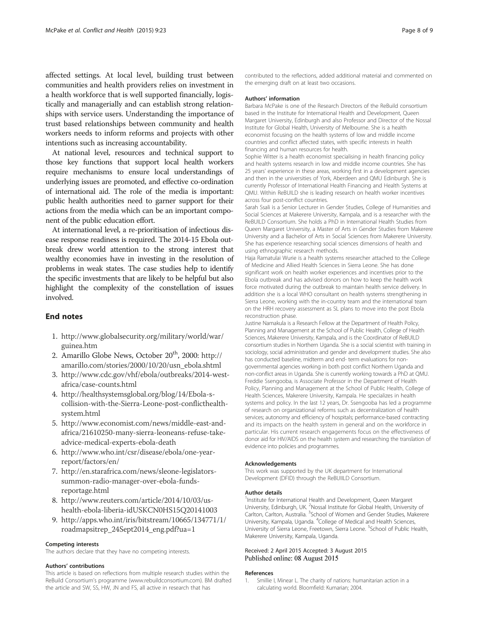<span id="page-7-0"></span>affected settings. At local level, building trust between communities and health providers relies on investment in a health workforce that is well supported financially, logistically and managerially and can establish strong relationships with service users. Understanding the importance of trust based relationships between community and health workers needs to inform reforms and projects with other intentions such as increasing accountability.

At national level, resources and technical support to those key functions that support local health workers require mechanisms to ensure local understandings of underlying issues are promoted, and effective co-ordination of international aid. The role of the media is important: public health authorities need to garner support for their actions from the media which can be an important component of the public education effort.

At international level, a re-prioritisation of infectious disease response readiness is required. The 2014-15 Ebola outbreak drew world attention to the strong interest that wealthy economies have in investing in the resolution of problems in weak states. The case studies help to identify the specific investments that are likely to be helpful but also highlight the complexity of the constellation of issues involved.

## End notes

- 1. [http://www.globalsecurity.org/military/world/war/](http://www.globalsecurity.org/military/world/war/guinea.htm) [guinea.htm](http://www.globalsecurity.org/military/world/war/guinea.htm)
- 2. Amarillo Globe News, October  $20<sup>th</sup>$ , 2000: [http://](http://amarillo.com/stories/2000/10/20/usn_ebola.shtml) [amarillo.com/stories/2000/10/20/usn\\_ebola.shtml](http://amarillo.com/stories/2000/10/20/usn_ebola.shtml)
- 3. [http://www.cdc.gov/vhf/ebola/outbreaks/2014-west](http://www.cdc.gov/vhf/ebola/outbreaks/2014-west-africa/case-counts.html)[africa/case-counts.html](http://www.cdc.gov/vhf/ebola/outbreaks/2014-west-africa/case-counts.html)
- 4. [http://healthsystemsglobal.org/blog/14/Ebola-s](http://healthsystemsglobal.org/blog/14/Ebola-s-collision-with-the-Sierra-Leone-post-conflicthealth-system.html)[collision-with-the-Sierra-Leone-post-conflicthealth](http://healthsystemsglobal.org/blog/14/Ebola-s-collision-with-the-Sierra-Leone-post-conflicthealth-system.html)[system.html](http://healthsystemsglobal.org/blog/14/Ebola-s-collision-with-the-Sierra-Leone-post-conflicthealth-system.html)
- 5. [http://www.economist.com/news/middle-east-and](http://www.economist.com/news/middle-east-and-africa/21610250-many-sierra-leoneans-refuse-take-advice-medical-experts-ebola-death)[africa/21610250-many-sierra-leoneans-refuse-take](http://www.economist.com/news/middle-east-and-africa/21610250-many-sierra-leoneans-refuse-take-advice-medical-experts-ebola-death)[advice-medical-experts-ebola-death](http://www.economist.com/news/middle-east-and-africa/21610250-many-sierra-leoneans-refuse-take-advice-medical-experts-ebola-death)
- 6. [http://www.who.int/csr/disease/ebola/one-year](http://www.who.int/csr/disease/ebola/one-year-report/factors/en/)[report/factors/en/](http://www.who.int/csr/disease/ebola/one-year-report/factors/en/)
- 7. [http://en.starafrica.com/news/sleone-legislators](http://en.starafrica.com/news/sleone-legislators-summon-radio-manager-over-ebola-funds-reportage.html)[summon-radio-manager-over-ebola-funds](http://en.starafrica.com/news/sleone-legislators-summon-radio-manager-over-ebola-funds-reportage.html)[reportage.html](http://en.starafrica.com/news/sleone-legislators-summon-radio-manager-over-ebola-funds-reportage.html)
- 8. [http://www.reuters.com/article/2014/10/03/us](http://www.reuters.com/article/2014/10/03/us-health-ebola-liberia-idUSKCN0HS15Q20141003)[health-ebola-liberia-idUSKCN0HS15Q20141003](http://www.reuters.com/article/2014/10/03/us-health-ebola-liberia-idUSKCN0HS15Q20141003)
- 9. [http://apps.who.int/iris/bitstream/10665/134771/1/](http://apps.who.int/iris/bitstream/10665/134771/1/roadmapsitrep_24Sept2014_eng.pdf?ua=1) [roadmapsitrep\\_24Sept2014\\_eng.pdf?ua=1](http://apps.who.int/iris/bitstream/10665/134771/1/roadmapsitrep_24Sept2014_eng.pdf?ua=1)

#### Competing interests

The authors declare that they have no competing interests.

#### Authors' contributions

This article is based on reflections from multiple research studies within the ReBuild Consortium's programme [\(www.rebuildconsortium.com](http://www.rebuildconsortium.com/)). BM drafted the article and SW, SS, HW, JN and FS, all active in research that has

contributed to the reflections, added additional material and commented on the emerging draft on at least two occasions.

#### Authors' information

Barbara McPake is one of the Research Directors of the ReBuild consortium based in the Institute for International Health and Development, Queen Margaret University, Edinburgh and also Professor and Director of the Nossal Institute for Global Health, University of Melbourne. She is a health economist focusing on the health systems of low and middle income countries and conflict affected states, with specific interests in health financing and human resources for health.

Sophie Witter is a health economist specialising in health financing policy and health systems research in low and middle income countries. She has 25 years' experience in these areas, working first in a development agencies and then in the universities of York, Aberdeen and QMU Edinburgh. She is currently Professor of International Health Financing and Health Systems at QMU. Within ReBUILD she is leading research on health worker incentives across four post-conflict countries.

Sarah Ssali is a Senior Lecturer in Gender Studies, College of Humanities and Social Sciences at Makerere University, Kampala, and is a researcher with the ReBUILD Consortium. She holds a PhD in International Health Studies from Queen Margaret University, a Master of Arts in Gender Studies from Makerere University and a Bachelor of Arts in Social Sciences from Makerere University. She has experience researching social sciences dimensions of health and using ethnographic research methods.

Haja Ramatulai Wurie is a health systems researcher attached to the College of Medicine and Allied Health Sciences in Sierra Leone. She has done significant work on health worker experiences and incentives prior to the Ebola outbreak and has advised donors on how to keep the health work force motivated during the outbreak to maintain health service delivery. In addition she is a local WHO consultant on health systems strengthening in Sierra Leone, working with the in-country team and the international team on the HRH recovery assessment as SL plans to move into the post Ebola reconstruction phase.

Justine Namakula is a Research Fellow at the Department of Health Policy, Planning and Management at the School of Public Health, College of Health Sciences, Makerere University, Kampala, and is the Coordinator of ReBUILD consortium studies in Northern Uganda. She is a social scientist with training in sociology, social administration and gender and development studies. She also has conducted baseline, midterm and end- term evaluations for nongovernmental agencies working in both post conflict Northern Uganda and non-conflict areas in Uganda. She is currently working towards a PhD at QMU. Freddie Ssengooba, is Associate Professor in the Department of Health Policy, Planning and Management at the School of Public Health, College of Health Sciences, Makerere University, Kampala. He specializes in health systems and policy. In the last 12 years, Dr. Ssengooba has led a programme of research on organizational reforms such as decentralization of health services; autonomy and efficiency of hospitals; performance-based contracting and its impacts on the health system in general and on the workforce in particular. His current research engagements focus on the effectiveness of donor aid for HIV/AIDS on the health system and researching the translation of evidence into policies and programmes.

#### Acknowledgements

This work was supported by the UK department for International Development (DFID) through the ReBUIILD Consortium.

#### Author details

<sup>1</sup>Institute for International Health and Development, Queen Margaret University, Edinburgh, UK. <sup>2</sup>Nossal Institute for Global Health, University of Carlton, Carlton, Australia. <sup>3</sup>School of Women and Gender Studies, Makerere University, Kampala, Uganda. <sup>4</sup>College of Medical and Health Sciences University of Sierra Leone, Freetown, Sierra Leone. <sup>5</sup>School of Public Health Makerere University, Kampala, Uganda.

### Received: 2 April 2015 Accepted: 3 August 2015 Published online: 08 August 2015

#### References

1. Smillie I, Minear L. The charity of nations: humanitarian action in a calculating world. Bloomfield: Kumarian; 2004.